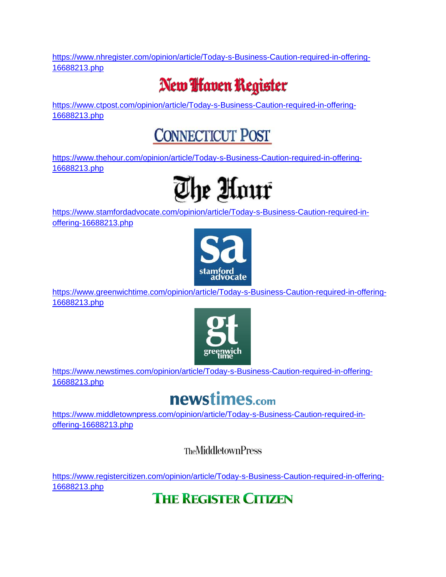[https://www.nhregister.com/opinion/article/Today-s-Business-Caution-required-in-offering-](https://www.nhregister.com/opinion/article/Today-s-Business-Caution-required-in-offering-16688213.php)[16688213.php](https://www.nhregister.com/opinion/article/Today-s-Business-Caution-required-in-offering-16688213.php)

## New **I** faven Register

[https://www.ctpost.com/opinion/article/Today-s-Business-Caution-required-in-offering-](https://www.ctpost.com/opinion/article/Today-s-Business-Caution-required-in-offering-16688213.php)[16688213.php](https://www.ctpost.com/opinion/article/Today-s-Business-Caution-required-in-offering-16688213.php)

### **CONNECTICUT POST**

[https://www.thehour.com/opinion/article/Today-s-Business-Caution-required-in-offering-](https://www.thehour.com/opinion/article/Today-s-Business-Caution-required-in-offering-16688213.php)[16688213.php](https://www.thehour.com/opinion/article/Today-s-Business-Caution-required-in-offering-16688213.php)



[https://www.stamfordadvocate.com/opinion/article/Today-s-Business-Caution-required-in](https://www.stamfordadvocate.com/opinion/article/Today-s-Business-Caution-required-in-offering-16688213.php)[offering-16688213.php](https://www.stamfordadvocate.com/opinion/article/Today-s-Business-Caution-required-in-offering-16688213.php)



[https://www.greenwichtime.com/opinion/article/Today-s-Business-Caution-required-in-offering-](https://www.greenwichtime.com/opinion/article/Today-s-Business-Caution-required-in-offering-16688213.php)[16688213.php](https://www.greenwichtime.com/opinion/article/Today-s-Business-Caution-required-in-offering-16688213.php)



[https://www.newstimes.com/opinion/article/Today-s-Business-Caution-required-in-offering-](https://www.newstimes.com/opinion/article/Today-s-Business-Caution-required-in-offering-16688213.php)[16688213.php](https://www.newstimes.com/opinion/article/Today-s-Business-Caution-required-in-offering-16688213.php)

#### newstimes.com

[https://www.middletownpress.com/opinion/article/Today-s-Business-Caution-required-in](https://www.middletownpress.com/opinion/article/Today-s-Business-Caution-required-in-offering-16688213.php)[offering-16688213.php](https://www.middletownpress.com/opinion/article/Today-s-Business-Caution-required-in-offering-16688213.php)

**TheMiddletownPress** 

[https://www.registercitizen.com/opinion/article/Today-s-Business-Caution-required-in-offering-](https://www.registercitizen.com/opinion/article/Today-s-Business-Caution-required-in-offering-16688213.php)[16688213.php](https://www.registercitizen.com/opinion/article/Today-s-Business-Caution-required-in-offering-16688213.php)

#### **THE REGISTER CITIZEN**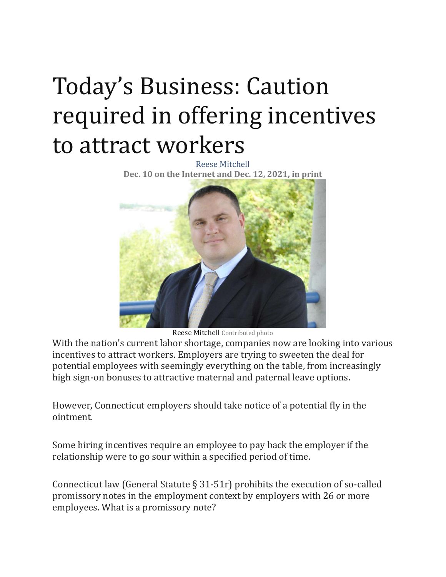# Today's Business: Caution required in offering incentives to attract workers

Reese Mitchell **Dec. 10 on the Internet and Dec. 12, 2021, in print**



Reese Mitchell Contributed photo

With the nation's current labor shortage, companies now are looking into various incentives to attract workers. Employers are trying to sweeten the deal for potential employees with seemingly everything on the table, from increasingly high sign-on bonuses to attractive maternal and paternal leave options.

However, Connecticut employers should take notice of a potential fly in the ointment.

Some hiring incentives require an employee to pay back the employer if the relationship were to go sour within a specified period of time.

Connecticut law (General Statute § 31-51r) prohibits the execution of so-called promissory notes in the employment context by employers with 26 or more employees. What is a promissory note?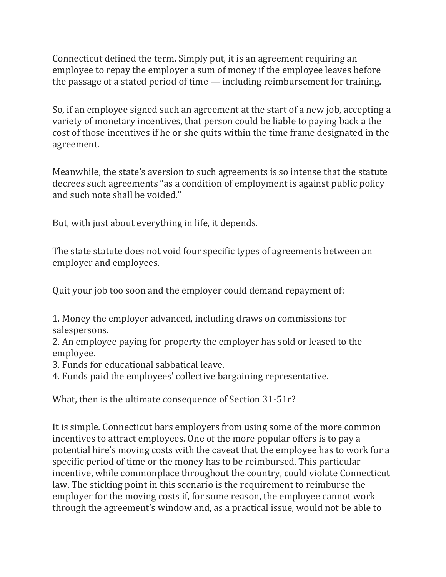Connecticut defined the term. Simply put, it is an agreement requiring an employee to repay the employer a sum of money if the employee leaves before the passage of a stated period of time — including reimbursement for training.

So, if an employee signed such an agreement at the start of a new job, accepting a variety of monetary incentives, that person could be liable to paying back a the cost of those incentives if he or she quits within the time frame designated in the agreement.

Meanwhile, the state's aversion to such agreements is so intense that the statute decrees such agreements "as a condition of employment is against public policy and such note shall be voided."

But, with just about everything in life, it depends.

The state statute does not void four specific types of agreements between an employer and employees.

Quit your job too soon and the employer could demand repayment of:

1. Money the employer advanced, including draws on commissions for salespersons.

2. An employee paying for property the employer has sold or leased to the employee.

3. Funds for educational sabbatical leave.

4. Funds paid the employees' collective bargaining representative.

What, then is the ultimate consequence of Section 31-51r?

It is simple. Connecticut bars employers from using some of the more common incentives to attract employees. One of the more popular offers is to pay a potential hire's moving costs with the caveat that the employee has to work for a specific period of time or the money has to be reimbursed. This particular incentive, while commonplace throughout the country, could violate Connecticut law. The sticking point in this scenario is the requirement to reimburse the employer for the moving costs if, for some reason, the employee cannot work through the agreement's window and, as a practical issue, would not be able to